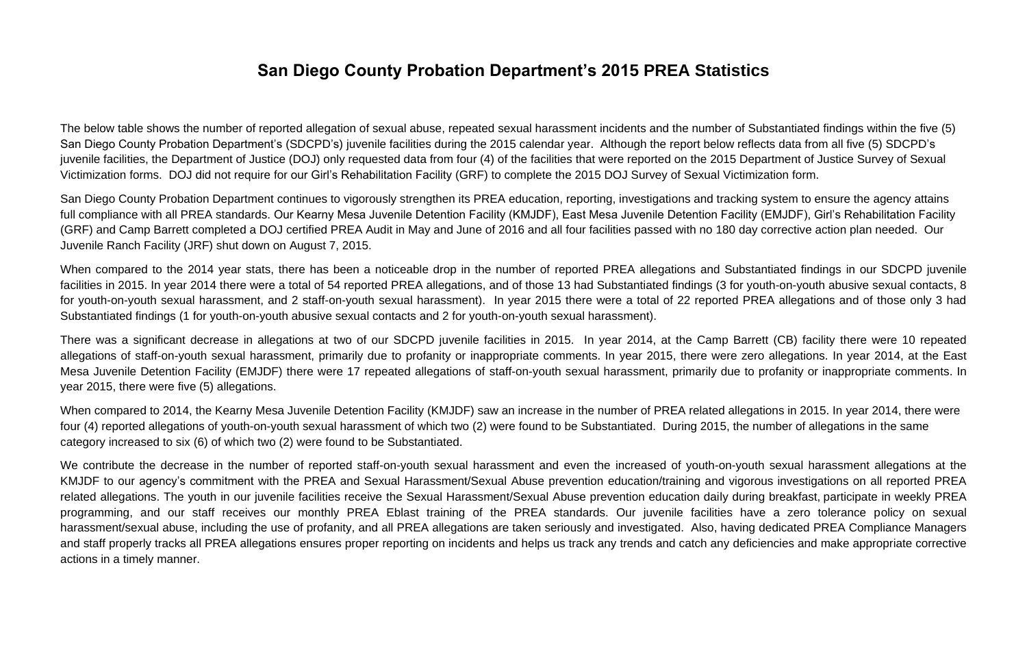### **San Diego County Probation Department's 2015 PREA Statistics**

The below table shows the number of reported allegation of sexual abuse, repeated sexual harassment incidents and the number of Substantiated findings within the five (5) San Diego County Probation Department's (SDCPD's) juvenile facilities during the 2015 calendar year. Although the report below reflects data from all five (5) SDCPD's juvenile facilities, the Department of Justice (DOJ) only requested data from four (4) of the facilities that were reported on the 2015 Department of Justice Survey of Sexual Victimization forms. DOJ did not require for our Girl's Rehabilitation Facility (GRF) to complete the 2015 DOJ Survey of Sexual Victimization form.

San Diego County Probation Department continues to vigorously strengthen its PREA education, reporting, investigations and tracking system to ensure the agency attains full compliance with all PREA standards. Our Kearny Mesa Juvenile Detention Facility (KMJDF), East Mesa Juvenile Detention Facility (EMJDF), Girl's Rehabilitation Facility (GRF) and Camp Barrett completed a DOJ certified PREA Audit in May and June of 2016 and all four facilities passed with no 180 day corrective action plan needed. Our Juvenile Ranch Facility (JRF) shut down on August 7, 2015.

When compared to the 2014 year stats, there has been a noticeable drop in the number of reported PREA allegations and Substantiated findings in our SDCPD juvenile facilities in 2015. In year 2014 there were a total of 54 reported PREA allegations, and of those 13 had Substantiated findings (3 for youth-on-youth abusive sexual contacts, 8 for youth-on-youth sexual harassment, and 2 staff-on-youth sexual harassment). In year 2015 there were a total of 22 reported PREA allegations and of those only 3 had Substantiated findings (1 for youth-on-youth abusive sexual contacts and 2 for youth-on-youth sexual harassment).

There was a significant decrease in allegations at two of our SDCPD juvenile facilities in 2015. In year 2014, at the Camp Barrett (CB) facility there were 10 repeated allegations of staff-on-youth sexual harassment, primarily due to profanity or inappropriate comments. In year 2015, there were zero allegations. In year 2014, at the East Mesa Juvenile Detention Facility (EMJDF) there were 17 repeated allegations of staff-on-youth sexual harassment, primarily due to profanity or inappropriate comments. In year 2015, there were five (5) allegations.

When compared to 2014, the Kearny Mesa Juvenile Detention Facility (KMJDF) saw an increase in the number of PREA related allegations in 2015. In year 2014, there were four (4) reported allegations of youth-on-youth sexual harassment of which two (2) were found to be Substantiated. During 2015, the number of allegations in the same category increased to six (6) of which two (2) were found to be Substantiated.

We contribute the decrease in the number of reported staff-on-youth sexual harassment and even the increased of youth-on-youth sexual harassment allegations at the KMJDF to our agency's commitment with the PREA and Sexual Harassment/Sexual Abuse prevention education/training and vigorous investigations on all reported PREA related allegations. The youth in our juvenile facilities receive the Sexual Harassment/Sexual Abuse prevention education daily during breakfast, participate in weekly PREA programming, and our staff receives our monthly PREA Eblast training of the PREA standards. Our juvenile facilities have a zero tolerance policy on sexual harassment/sexual abuse, including the use of profanity, and all PREA allegations are taken seriously and investigated. Also, having dedicated PREA Compliance Managers and staff properly tracks all PREA allegations ensures proper reporting on incidents and helps us track any trends and catch any deficiencies and make appropriate corrective actions in a timely manner.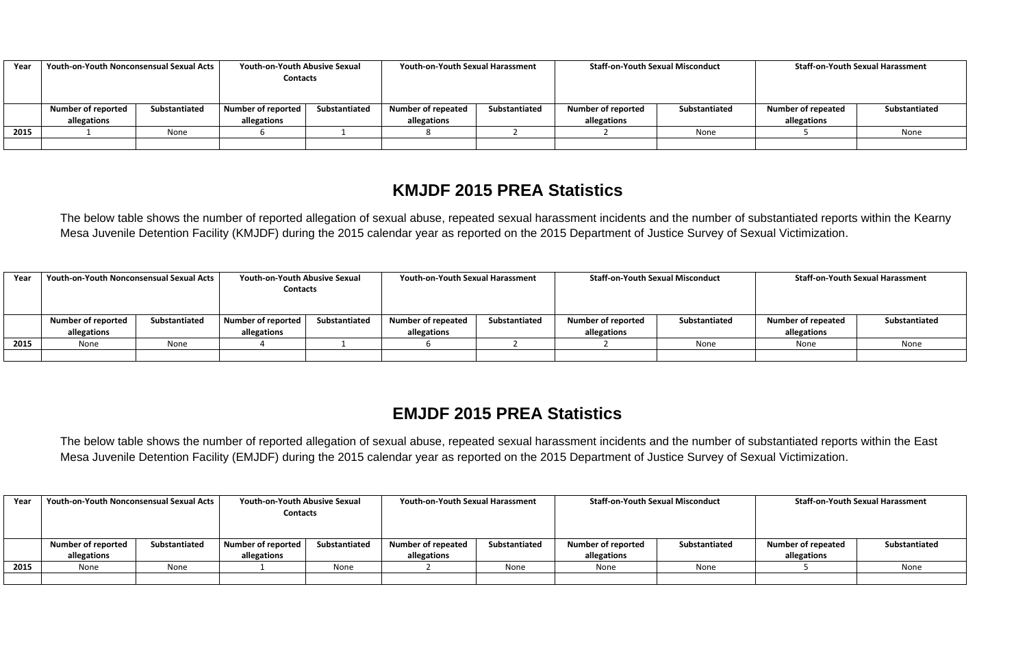| Year | Youth-on-Youth Nonconsensual Sexual Acts |               | <b>Youth-on-Youth Abusive Sexual</b><br><b>Contacts</b> |               | <b>Youth-on-Youth Sexual Harassment</b> |               | <b>Staff-on-Youth Sexual Misconduct</b> |               | <b>Staff-on-Youth Sexual Harassment</b> |               |
|------|------------------------------------------|---------------|---------------------------------------------------------|---------------|-----------------------------------------|---------------|-----------------------------------------|---------------|-----------------------------------------|---------------|
|      | <b>Number of reported</b>                | Substantiated | Number of reported                                      | Substantiated | <b>Number of repeated</b>               | Substantiated | <b>Number of reported</b>               | Substantiated | <b>Number of repeated</b>               | Substantiated |
|      | allegations                              |               | allegations                                             |               | allegations                             |               | allegations                             |               | allegations                             |               |
| 2015 |                                          | None          |                                                         |               |                                         |               |                                         | None          |                                         | None          |
|      |                                          |               |                                                         |               |                                         |               |                                         |               |                                         |               |

### **KMJDF 2015 PREA Statistics**

The below table shows the number of reported allegation of sexual abuse, repeated sexual harassment incidents and the number of substantiated reports within the Kearny Mesa Juvenile Detention Facility (KMJDF) during the 2015 calendar year as reported on the 2015 Department of Justice Survey of Sexual Victimization.

| Year | Youth-on-Youth Nonconsensual Sexual Acts |               |                    | <b>Youth-on-Youth Abusive Sexual</b><br><b>Contacts</b> |                           | <b>Youth-on-Youth Sexual Harassment</b> |                           | <b>Staff-on-Youth Sexual Misconduct</b> |                           | <b>Staff-on-Youth Sexual Harassment</b> |  |
|------|------------------------------------------|---------------|--------------------|---------------------------------------------------------|---------------------------|-----------------------------------------|---------------------------|-----------------------------------------|---------------------------|-----------------------------------------|--|
|      | <b>Number of reported</b>                | Substantiated | Number of reported | Substantiated                                           | <b>Number of repeated</b> | Substantiated                           | <b>Number of reported</b> | Substantiated                           | <b>Number of repeated</b> | Substantiated                           |  |
|      | allegations                              |               | allegations        |                                                         | allegations               |                                         | allegations               |                                         | allegations               |                                         |  |
| 2015 | None                                     | None          |                    |                                                         |                           |                                         |                           | None                                    | None                      | None                                    |  |
|      |                                          |               |                    |                                                         |                           |                                         |                           |                                         |                           |                                         |  |

### **EMJDF 2015 PREA Statistics**

The below table shows the number of reported allegation of sexual abuse, repeated sexual harassment incidents and the number of substantiated reports within the East Mesa Juvenile Detention Facility (EMJDF) during the 2015 calendar year as reported on the 2015 Department of Justice Survey of Sexual Victimization.

| Year | Youth-on-Youth Nonconsensual Sexual Acts |               | <b>Youth-on-Youth Abusive Sexual</b> |               | <b>Youth-on-Youth Sexual Harassment</b> |               | <b>Staff-on-Youth Sexual Misconduct</b> |               | <b>Staff-on-Youth Sexual Harassment</b> |               |
|------|------------------------------------------|---------------|--------------------------------------|---------------|-----------------------------------------|---------------|-----------------------------------------|---------------|-----------------------------------------|---------------|
|      |                                          |               | <b>Contacts</b>                      |               |                                         |               |                                         |               |                                         |               |
|      |                                          |               |                                      |               |                                         |               |                                         |               |                                         |               |
|      | <b>Number of reported</b>                | Substantiated | Number of reported                   | Substantiated | <b>Number of repeated</b>               | Substantiated | <b>Number of reported</b>               | Substantiated | <b>Number of repeated</b>               | Substantiated |
|      | allegations                              |               | allegations                          |               | allegations                             |               | allegations                             |               | allegations                             |               |
| 2015 | None                                     | None          |                                      | None          |                                         | None          | None                                    | None          |                                         | None          |
|      |                                          |               |                                      |               |                                         |               |                                         |               |                                         |               |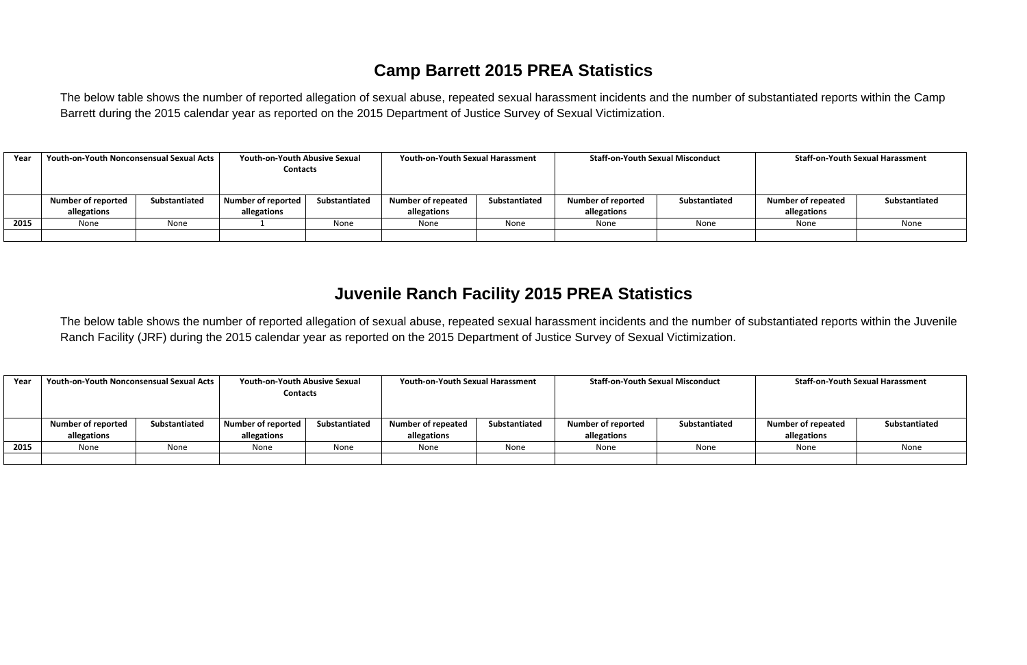## **Camp Barrett 2015 PREA Statistics**

The below table shows the number of reported allegation of sexual abuse, repeated sexual harassment incidents and the number of substantiated reports within the Camp Barrett during the 2015 calendar year as reported on the 2015 Department of Justice Survey of Sexual Victimization.

| Year | <b>Youth-on-Youth Nonconsensual Sexual Acts</b> |               | <b>Youth-on-Youth Abusive Sexual</b><br><b>Contacts</b> |               | <b>Youth-on-Youth Sexual Harassment</b>  |               | <b>Staff-on-Youth Sexual Misconduct</b>  |               | <b>Staff-on-Youth Sexual Harassment</b>  |               |  |
|------|-------------------------------------------------|---------------|---------------------------------------------------------|---------------|------------------------------------------|---------------|------------------------------------------|---------------|------------------------------------------|---------------|--|
|      | <b>Number of reported</b><br>allegations        | Substantiated | Number of reported<br>allegations                       | Substantiated | <b>Number of repeated</b><br>allegations | Substantiated | <b>Number of reported</b><br>allegations | Substantiated | <b>Number of repeated</b><br>allegations | Substantiated |  |
| 2015 | None                                            | None          |                                                         | None          | None                                     | None          | None                                     | None          | None                                     | None          |  |
|      |                                                 |               |                                                         |               |                                          |               |                                          |               |                                          |               |  |

### **Juvenile Ranch Facility 2015 PREA Statistics**

The below table shows the number of reported allegation of sexual abuse, repeated sexual harassment incidents and the number of substantiated reports within the Juvenile Ranch Facility (JRF) during the 2015 calendar year as reported on the 2015 Department of Justice Survey of Sexual Victimization.

| Year | <b>Youth-on-Youth Nonconsensual Sexual Acts</b> |               | <b>Youth-on-Youth Abusive Sexual</b> |               | <b>Youth-on-Youth Sexual Harassment</b> |               | <b>Staff-on-Youth Sexual Misconduct</b> |               | <b>Staff-on-Youth Sexual Harassment</b> |               |  |
|------|-------------------------------------------------|---------------|--------------------------------------|---------------|-----------------------------------------|---------------|-----------------------------------------|---------------|-----------------------------------------|---------------|--|
|      |                                                 |               | <b>Contacts</b>                      |               |                                         |               |                                         |               |                                         |               |  |
|      |                                                 |               |                                      |               |                                         |               |                                         |               |                                         |               |  |
|      | <b>Number of reported</b>                       | Substantiated | <b>Number of reported</b>            | Substantiated | <b>Number of repeated</b>               | Substantiated | <b>Number of reported</b>               | Substantiated | <b>Number of repeated</b>               | Substantiated |  |
|      | allegations                                     |               | allegations                          |               | allegations                             |               | allegations                             |               | allegations                             |               |  |
| 2015 | None                                            | None          | None                                 | None          | None                                    | None          | None                                    | None          | None                                    | None          |  |
|      |                                                 |               |                                      |               |                                         |               |                                         |               |                                         |               |  |